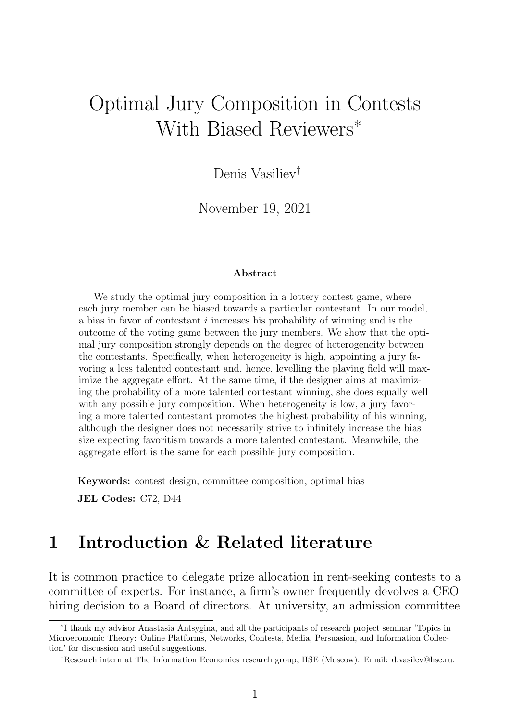# Optimal Jury Composition in Contests With Biased Reviewers<sup>\*</sup>

Denis Vasiliev†

November 19, 2021

#### Abstract

We study the optimal jury composition in a lottery contest game, where each jury member can be biased towards a particular contestant. In our model, a bias in favor of contestant i increases his probability of winning and is the outcome of the voting game between the jury members. We show that the optimal jury composition strongly depends on the degree of heterogeneity between the contestants. Specifically, when heterogeneity is high, appointing a jury favoring a less talented contestant and, hence, levelling the playing field will maximize the aggregate effort. At the same time, if the designer aims at maximizing the probability of a more talented contestant winning, she does equally well with any possible jury composition. When heterogeneity is low, a jury favoring a more talented contestant promotes the highest probability of his winning, although the designer does not necessarily strive to infinitely increase the bias size expecting favoritism towards a more talented contestant. Meanwhile, the aggregate effort is the same for each possible jury composition.

Keywords: contest design, committee composition, optimal bias

JEL Codes: C72, D44

#### 1 Introduction & Related literature

It is common practice to delegate prize allocation in rent-seeking contests to a committee of experts. For instance, a firm's owner frequently devolves a CEO hiring decision to a Board of directors. At university, an admission committee

<sup>∗</sup> I thank my advisor Anastasia Antsygina, and all the participants of research project seminar 'Topics in Microeconomic Theory: Online Platforms, Networks, Contests, Media, Persuasion, and Information Collection' for discussion and useful suggestions.

<sup>†</sup>Research intern at The Information Economics research group, HSE (Moscow). Email: d.vasilev@hse.ru.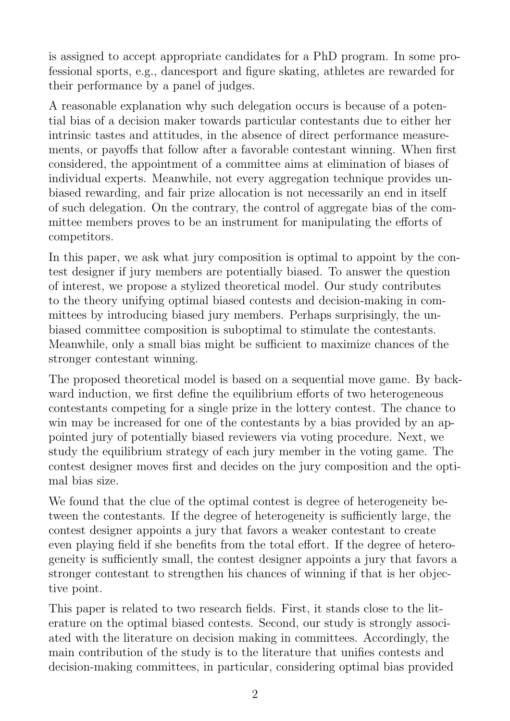is assigned to accept appropriate candidates for a PhD program. In some professional sports, e.g., dancesport and figure skating, athletes are rewarded for their performance by a panel of judges.

A reasonable explanation why such delegation occurs is because of a potential bias of a decision maker towards particular contestants due to either her intrinsic tastes and attitudes, in the absence of direct performance measurements, or payoffs that follow after a favorable contestant winning. When first considered, the appointment of a committee aims at elimination of biases of individual experts. Meanwhile, not every aggregation technique provides unbiased rewarding, and fair prize allocation is not necessarily an end in itself of such delegation. On the contrary, the control of aggregate bias of the committee members proves to be an instrument for manipulating the efforts of competitors.

In this paper, we ask what jury composition is optimal to appoint by the contest designer if jury members are potentially biased. To answer the question of interest, we propose a stylized theoretical model. Our study contributes to the theory unifying optimal biased contests and decision-making in committees by introducing biased jury members. Perhaps surprisingly, the unbiased committee composition is suboptimal to stimulate the contestants. Meanwhile, only a small bias might be sufficient to maximize chances of the stronger contestant winning.

The proposed theoretical model is based on a sequential move game. By backward induction, we first define the equilibrium efforts of two heterogeneous contestants competing for a single prize in the lottery contest. The chance to win may be increased for one of the contestants by a bias provided by an appointed jury of potentially biased reviewers via voting procedure. Next, we study the equilibrium strategy of each jury member in the voting game. The contest designer moves first and decides on the jury composition and the optimal bias size.

We found that the clue of the optimal contest is degree of heterogeneity between the contestants. If the degree of heterogeneity is sufficiently large, the contest designer appoints a jury that favors a weaker contestant to create even playing field if she benefits from the total effort. If the degree of heterogeneity is sufficiently small, the contest designer appoints a jury that favors a stronger contestant to strengthen his chances of winning if that is her objective point.

This paper is related to two research fields. First, it stands close to the literature on the optimal biased contests. Second, our study is strongly associated with the literature on decision making in committees. Accordingly, the main contribution of the study is to the literature that unifies contests and decision-making committees, in particular, considering optimal bias provided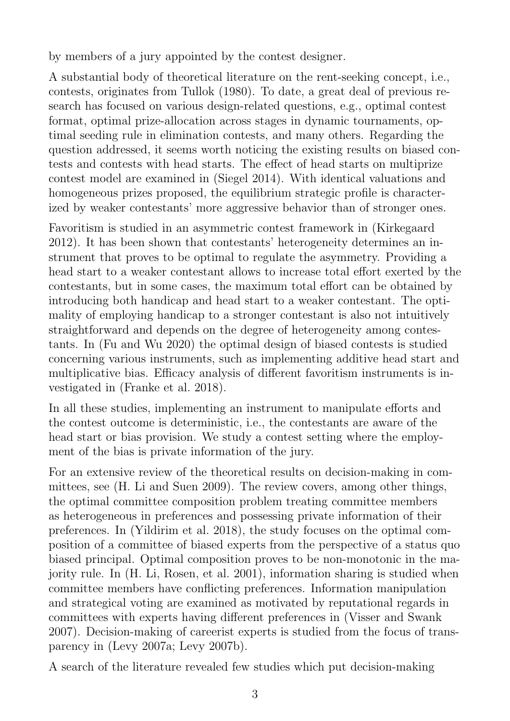by members of a jury appointed by the contest designer.

A substantial body of theoretical literature on the rent-seeking concept, i.e., contests, originates from Tullok (1980). To date, a great deal of previous research has focused on various design-related questions, e.g., optimal contest format, optimal prize-allocation across stages in dynamic tournaments, optimal seeding rule in elimination contests, and many others. Regarding the question addressed, it seems worth noticing the existing results on biased contests and contests with head starts. The effect of head starts on multiprize contest model are examined in (Siegel 2014). With identical valuations and homogeneous prizes proposed, the equilibrium strategic profile is characterized by weaker contestants' more aggressive behavior than of stronger ones.

Favoritism is studied in an asymmetric contest framework in (Kirkegaard 2012). It has been shown that contestants' heterogeneity determines an instrument that proves to be optimal to regulate the asymmetry. Providing a head start to a weaker contestant allows to increase total effort exerted by the contestants, but in some cases, the maximum total effort can be obtained by introducing both handicap and head start to a weaker contestant. The optimality of employing handicap to a stronger contestant is also not intuitively straightforward and depends on the degree of heterogeneity among contestants. In (Fu and Wu 2020) the optimal design of biased contests is studied concerning various instruments, such as implementing additive head start and multiplicative bias. Efficacy analysis of different favoritism instruments is investigated in (Franke et al. 2018).

In all these studies, implementing an instrument to manipulate efforts and the contest outcome is deterministic, i.e., the contestants are aware of the head start or bias provision. We study a contest setting where the employment of the bias is private information of the jury.

For an extensive review of the theoretical results on decision-making in committees, see (H. Li and Suen 2009). The review covers, among other things, the optimal committee composition problem treating committee members as heterogeneous in preferences and possessing private information of their preferences. In (Yildirim et al. 2018), the study focuses on the optimal composition of a committee of biased experts from the perspective of a status quo biased principal. Optimal composition proves to be non-monotonic in the majority rule. In (H. Li, Rosen, et al. 2001), information sharing is studied when committee members have conflicting preferences. Information manipulation and strategical voting are examined as motivated by reputational regards in committees with experts having different preferences in (Visser and Swank 2007). Decision-making of careerist experts is studied from the focus of transparency in (Levy 2007a; Levy 2007b).

A search of the literature revealed few studies which put decision-making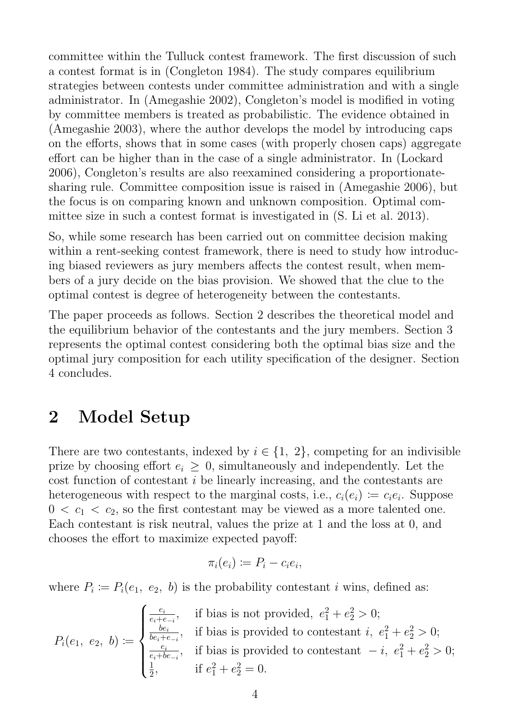committee within the Tulluck contest framework. The first discussion of such a contest format is in (Congleton 1984). The study compares equilibrium strategies between contests under committee administration and with a single administrator. In (Amegashie 2002), Congleton's model is modified in voting by committee members is treated as probabilistic. The evidence obtained in (Amegashie 2003), where the author develops the model by introducing caps on the efforts, shows that in some cases (with properly chosen caps) aggregate effort can be higher than in the case of a single administrator. In (Lockard 2006), Congleton's results are also reexamined considering a proportionatesharing rule. Committee composition issue is raised in (Amegashie 2006), but the focus is on comparing known and unknown composition. Optimal committee size in such a contest format is investigated in (S. Li et al. 2013).

So, while some research has been carried out on committee decision making within a rent-seeking contest framework, there is need to study how introducing biased reviewers as jury members affects the contest result, when members of a jury decide on the bias provision. We showed that the clue to the optimal contest is degree of heterogeneity between the contestants.

The paper proceeds as follows. Section 2 describes the theoretical model and the equilibrium behavior of the contestants and the jury members. Section 3 represents the optimal contest considering both the optimal bias size and the optimal jury composition for each utility specification of the designer. Section 4 concludes.

### 2 Model Setup

There are two contestants, indexed by  $i \in \{1, 2\}$ , competing for an indivisible prize by choosing effort  $e_i \geq 0$ , simultaneously and independently. Let the cost function of contestant i be linearly increasing, and the contestants are heterogeneous with respect to the marginal costs, i.e.,  $c_i(e_i) \coloneqq c_i e_i$ . Suppose  $0 < c_1 < c_2$ , so the first contestant may be viewed as a more talented one. Each contestant is risk neutral, values the prize at 1 and the loss at 0, and chooses the effort to maximize expected payoff:

$$
\pi_i(e_i) \coloneqq P_i - c_i e_i,
$$

where  $P_i \coloneqq P_i(e_1, e_2, b)$  is the probability contestant i wins, defined as:

$$
P_i(e_1, e_2, b) := \begin{cases} \frac{e_i}{e_i + e_{-i}}, & \text{if bias is not provided, } e_1^2 + e_2^2 > 0; \\ \frac{be_i}{be_i + e_{-i}}, & \text{if bias is provided to constant } i, e_1^2 + e_2^2 > 0; \\ \frac{e_i}{e_i + be_{-i}}, & \text{if bias is provided to constant } -i, e_1^2 + e_2^2 > 0; \\ \frac{1}{2}, & \text{if } e_1^2 + e_2^2 = 0. \end{cases}
$$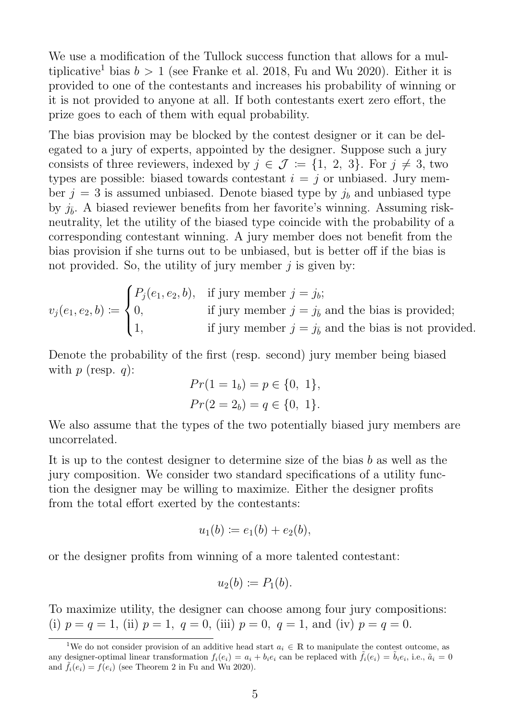We use a modification of the Tullock success function that allows for a multiplicative<sup>1</sup> bias  $b > 1$  (see Franke et al. 2018, Fu and Wu 2020). Either it is provided to one of the contestants and increases his probability of winning or it is not provided to anyone at all. If both contestants exert zero effort, the prize goes to each of them with equal probability.

The bias provision may be blocked by the contest designer or it can be delegated to a jury of experts, appointed by the designer. Suppose such a jury consists of three reviewers, indexed by  $j \in \mathcal{J} := \{1, 2, 3\}$ . For  $j \neq 3$ , two types are possible: biased towards contestant  $i = j$  or unbiased. Jury member  $j = 3$  is assumed unbiased. Denote biased type by  $j_b$  and unbiased type by  $j_{\bar{b}}$ . A biased reviewer benefits from her favorite's winning. Assuming riskneutrality, let the utility of the biased type coincide with the probability of a corresponding contestant winning. A jury member does not benefit from the bias provision if she turns out to be unbiased, but is better off if the bias is not provided. So, the utility of jury member  $j$  is given by:

$$
v_j(e_1, e_2, b) := \begin{cases} P_j(e_1, e_2, b), & \text{if jury member } j = j_b; \\ 0, & \text{if jury member } j = j_{\bar{b}} \text{ and the bias is provided;} \\ 1, & \text{if jury member } j = j_{\bar{b}} \text{ and the bias is not provided.} \end{cases}
$$

Denote the probability of the first (resp. second) jury member being biased with  $p$  (resp.  $q$ ):

$$
Pr(1 = 1b) = p \in \{0, 1\},
$$
  

$$
Pr(2 = 2b) = q \in \{0, 1\}.
$$

We also assume that the types of the two potentially biased jury members are uncorrelated.

It is up to the contest designer to determine size of the bias b as well as the jury composition. We consider two standard specifications of a utility function the designer may be willing to maximize. Either the designer profits from the total effort exerted by the contestants:

$$
u_1(b) := e_1(b) + e_2(b),
$$

or the designer profits from winning of a more talented contestant:

$$
u_2(b) \coloneqq P_1(b).
$$

To maximize utility, the designer can choose among four jury compositions: (i)  $p = q = 1$ , (ii)  $p = 1$ ,  $q = 0$ , (iii)  $p = 0$ ,  $q = 1$ , and (iv)  $p = q = 0$ .

<sup>&</sup>lt;sup>1</sup>We do not consider provision of an additive head start  $a_i \in \mathbb{R}$  to manipulate the contest outcome, as any designer-optimal linear transformation  $f_i(e_i) = a_i + b_i e_i$  can be replaced with  $\tilde{f}_i(e_i) = \tilde{b}_i e_i$ , i.e.,  $\tilde{a}_i = 0$ and  $\tilde{f}_i(e_i) = f(e_i)$  (see Theorem 2 in Fu and Wu 2020).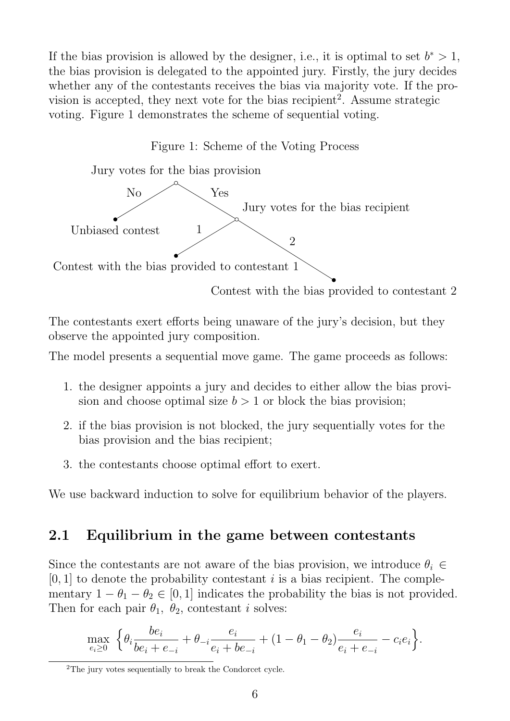If the bias provision is allowed by the designer, i.e., it is optimal to set  $b^* > 1$ , the bias provision is delegated to the appointed jury. Firstly, the jury decides whether any of the contestants receives the bias via majority vote. If the provision is accepted, they next vote for the bias recipient<sup>2</sup>. Assume strategic voting. Figure 1 demonstrates the scheme of sequential voting.

Figure 1: Scheme of the Voting Process



The contestants exert efforts being unaware of the jury's decision, but they observe the appointed jury composition.

The model presents a sequential move game. The game proceeds as follows:

- 1. the designer appoints a jury and decides to either allow the bias provision and choose optimal size  $b > 1$  or block the bias provision;
- 2. if the bias provision is not blocked, the jury sequentially votes for the bias provision and the bias recipient;
- 3. the contestants choose optimal effort to exert.

We use backward induction to solve for equilibrium behavior of the players.

#### 2.1 Equilibrium in the game between contestants

Since the contestants are not aware of the bias provision, we introduce  $\theta_i \in$  $[0, 1]$  to denote the probability contestant i is a bias recipient. The complementary  $1 - \theta_1 - \theta_2 \in [0, 1]$  indicates the probability the bias is not provided. Then for each pair  $\theta_1$ ,  $\theta_2$ , contestant *i* solves:

$$
\max_{e_i \ge 0} \left\{ \theta_i \frac{be_i}{be_i + e_{-i}} + \theta_{-i} \frac{e_i}{e_i + be_{-i}} + (1 - \theta_1 - \theta_2) \frac{e_i}{e_i + e_{-i}} - c_i e_i \right\}.
$$

<sup>2</sup>The jury votes sequentially to break the Condorcet cycle.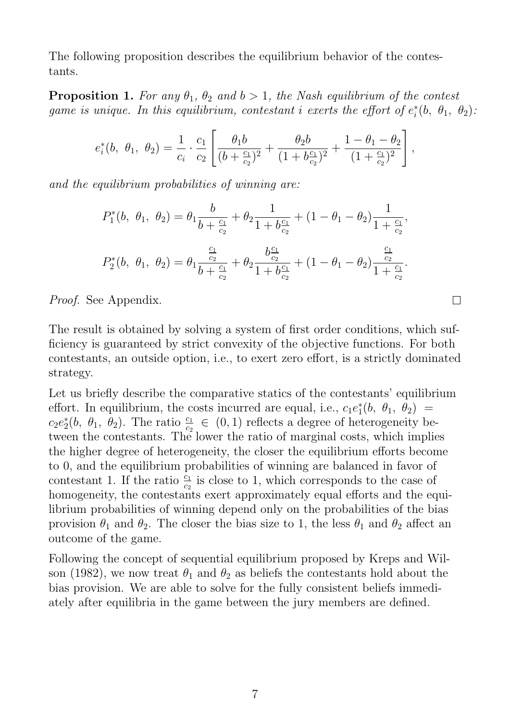The following proposition describes the equilibrium behavior of the contestants.

**Proposition 1.** For any  $\theta_1$ ,  $\theta_2$  and  $b > 1$ , the Nash equilibrium of the contest game is unique. In this equilibrium, contestant i exerts the effort of  $e_i^*$  $i<sup>*</sup>(b, \theta<sub>1</sub>, \theta<sub>2</sub>)$ :

$$
e_i^*(b, \theta_1, \theta_2) = \frac{1}{c_i} \cdot \frac{c_1}{c_2} \left[ \frac{\theta_1 b}{(b + \frac{c_1}{c_2})^2} + \frac{\theta_2 b}{(1 + b \frac{c_1}{c_2})^2} + \frac{1 - \theta_1 - \theta_2}{(1 + \frac{c_1}{c_2})^2} \right],
$$

and the equilibrium probabilities of winning are:

$$
P_1^*(b, \theta_1, \theta_2) = \theta_1 \frac{b}{b + \frac{c_1}{c_2}} + \theta_2 \frac{1}{1 + b\frac{c_1}{c_2}} + (1 - \theta_1 - \theta_2) \frac{1}{1 + \frac{c_1}{c_2}},
$$
  

$$
P_2^*(b, \theta_1, \theta_2) = \theta_1 \frac{\frac{c_1}{c_2}}{b + \frac{c_1}{c_2}} + \theta_2 \frac{b\frac{c_1}{c_2}}{1 + b\frac{c_1}{c_2}} + (1 - \theta_1 - \theta_2) \frac{\frac{c_1}{c_2}}{1 + \frac{c_1}{c_2}}.
$$

Proof. See Appendix.

The result is obtained by solving a system of first order conditions, which sufficiency is guaranteed by strict convexity of the objective functions. For both contestants, an outside option, i.e., to exert zero effort, is a strictly dominated strategy.

Let us briefly describe the comparative statics of the contestants' equilibrium effort. In equilibrium, the costs incurred are equal, i.e.,  $c_1 e_1^*$  $j_1^*(b, \theta_1, \theta_2) =$  $c_2e_2^*$ <sup>\*</sup><sub>2</sub>(b,  $\theta_1$ ,  $\theta_2$ ). The ratio  $\frac{c_1}{c_2} \in (0,1)$  reflects a degree of heterogeneity between the contestants. The lower the ratio of marginal costs, which implies the higher degree of heterogeneity, the closer the equilibrium efforts become to 0, and the equilibrium probabilities of winning are balanced in favor of contestant 1. If the ratio  $\frac{c_1}{c_2}$  is close to 1, which corresponds to the case of homogeneity, the contestants exert approximately equal efforts and the equilibrium probabilities of winning depend only on the probabilities of the bias provision  $\theta_1$  and  $\theta_2$ . The closer the bias size to 1, the less  $\theta_1$  and  $\theta_2$  affect an outcome of the game.

Following the concept of sequential equilibrium proposed by Kreps and Wilson (1982), we now treat  $\theta_1$  and  $\theta_2$  as beliefs the contestants hold about the bias provision. We are able to solve for the fully consistent beliefs immediately after equilibria in the game between the jury members are defined.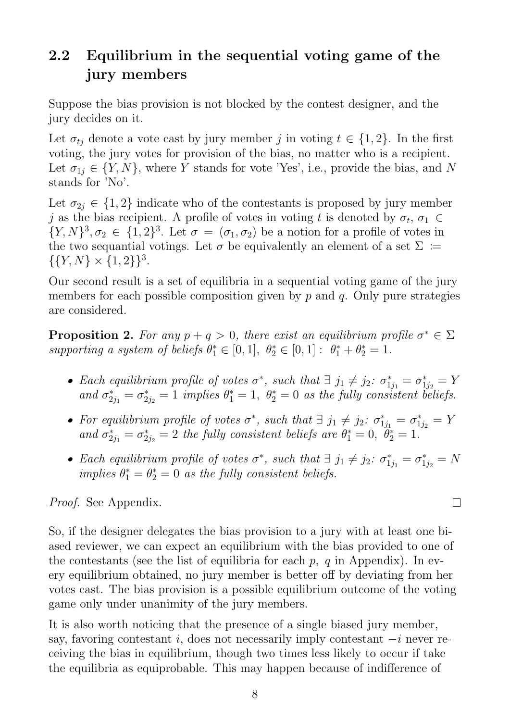### 2.2 Equilibrium in the sequential voting game of the jury members

Suppose the bias provision is not blocked by the contest designer, and the jury decides on it.

Let  $\sigma_{tj}$  denote a vote cast by jury member j in voting  $t \in \{1,2\}$ . In the first voting, the jury votes for provision of the bias, no matter who is a recipient. Let  $\sigma_{1i} \in \{Y, N\}$ , where Y stands for vote 'Yes', i.e., provide the bias, and N stands for 'No'.

Let  $\sigma_{2i} \in \{1,2\}$  indicate who of the contestants is proposed by jury member j as the bias recipient. A profile of votes in voting t is denoted by  $\sigma_t$ ,  $\sigma_1 \in$  $\{Y,N\}^3, \sigma_2 \in \{1,2\}^3$ . Let  $\sigma = (\sigma_1, \sigma_2)$  be a notion for a profile of votes in the two sequantial votings. Let  $\sigma$  be equivalently an element of a set  $\Sigma :=$  $\{\{Y, N\} \times \{1, 2\}\}^3$ .

Our second result is a set of equilibria in a sequential voting game of the jury members for each possible composition given by  $p$  and  $q$ . Only pure strategies are considered.

**Proposition 2.** For any  $p + q > 0$ , there exist an equilibrium profile  $\sigma^* \in \Sigma$ supporting a system of beliefs  $\theta_1^* \in [0,1]$ ,  $\theta_2^* \in [0,1]$ :  $\theta_1^* + \theta_2^* = 1$ .

- Each equilibrium profile of votes  $\sigma^*$ , such that  $\exists j_1 \neq j_2$ :  $\sigma^*_{1j_1} = \sigma^*_{1j_2} = Y$ and  $\sigma_{2j_1}^* = \sigma_{2j_1}^*$  $\hat{e}_{2j_2}^* = 1$  implies  $\theta_1^* = 1$ ,  $\theta_2^* = 0$  as the fully consistent beliefs.
- For equilibrium profile of votes  $\sigma^*$ , such that  $\exists j_1 \neq j_2$ :  $\sigma^*_{1j_1} = \sigma^*_{1j_2} = Y$ and  $\sigma_{2j_1}^* = \sigma_{2j_1}^*$  $z_{2j_2}^* = 2$  the fully consistent beliefs are  $\theta_1^* = 0$ ,  $\ddot{\theta}_2^* = 1$ .
- Each equilibrium profile of votes  $\sigma^*$ , such that  $\exists j_1 \neq j_2$ :  $\sigma^*_{1j_1} = \sigma^*_{1j_2} = N$ implies  $\theta_1^* = \theta_2^* = 0$  as the fully consistent beliefs.

#### Proof. See Appendix.

So, if the designer delegates the bias provision to a jury with at least one biased reviewer, we can expect an equilibrium with the bias provided to one of the contestants (see the list of equilibria for each  $p$ ,  $q$  in Appendix). In every equilibrium obtained, no jury member is better off by deviating from her votes cast. The bias provision is a possible equilibrium outcome of the voting game only under unanimity of the jury members.

It is also worth noticing that the presence of a single biased jury member, say, favoring contestant i, does not necessarily imply contestant  $-i$  never receiving the bias in equilibrium, though two times less likely to occur if take the equilibria as equiprobable. This may happen because of indifference of

 $\Box$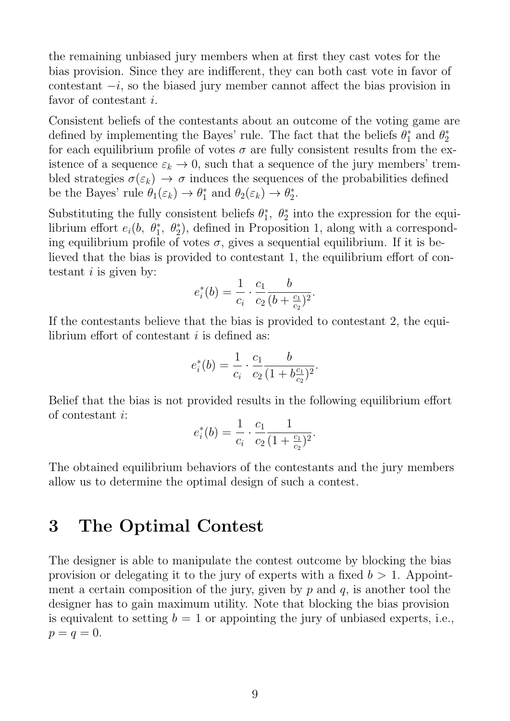the remaining unbiased jury members when at first they cast votes for the bias provision. Since they are indifferent, they can both cast vote in favor of contestant  $-i$ , so the biased jury member cannot affect the bias provision in favor of contestant i.

Consistent beliefs of the contestants about an outcome of the voting game are defined by implementing the Bayes' rule. The fact that the beliefs  $\theta_1^*$  $j_1^*$  and  $\theta_2^*$ 2 for each equilibrium profile of votes  $\sigma$  are fully consistent results from the existence of a sequence  $\varepsilon_k \to 0$ , such that a sequence of the jury members' trembled strategies  $\sigma(\varepsilon_k) \to \sigma$  induces the sequences of the probabilities defined be the Bayes' rule  $\theta_1(\varepsilon_k) \to \theta_1^*$ <sup>\*</sup><sub>1</sub> and  $\theta_2(\varepsilon_k) \rightarrow \theta_2^*$  $_{2}^{\ast}$ .

Substituting the fully consistent beliefs  $\theta_1^*$ <sup>\*</sup><sub>1</sub>,  $\theta_2^*$  into the expression for the equilibrium effort  $e_i(b, \theta_1^*, \theta_2^*)$ , defined in Proposition 1, along with a corresponding equilibrium profile of votes  $\sigma$ , gives a sequential equilibrium. If it is believed that the bias is provided to contestant 1, the equilibrium effort of contestant  $i$  is given by:

$$
e_i^*(b) = \frac{1}{c_i} \cdot \frac{c_1}{c_2} \frac{b}{(b + \frac{c_1}{c_2})^2}.
$$

If the contestants believe that the bias is provided to contestant 2, the equilibrium effort of contestant  $i$  is defined as:

$$
e_i^*(b) = \frac{1}{c_i} \cdot \frac{c_1}{c_2} \frac{b}{(1 + b \frac{c_1}{c_2})^2}.
$$

Belief that the bias is not provided results in the following equilibrium effort of contestant i:

$$
e_i^*(b) = \frac{1}{c_i} \cdot \frac{c_1}{c_2} \frac{1}{(1 + \frac{c_1}{c_2})^2}.
$$

The obtained equilibrium behaviors of the contestants and the jury members allow us to determine the optimal design of such a contest.

### 3 The Optimal Contest

The designer is able to manipulate the contest outcome by blocking the bias provision or delegating it to the jury of experts with a fixed  $b > 1$ . Appointment a certain composition of the jury, given by  $p$  and  $q$ , is another tool the designer has to gain maximum utility. Note that blocking the bias provision is equivalent to setting  $b = 1$  or appointing the jury of unbiased experts, i.e.,  $p = q = 0.$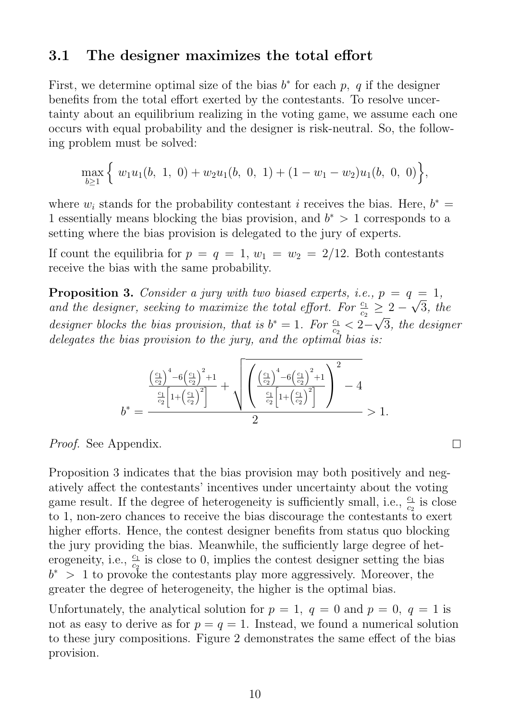#### 3.1 The designer maximizes the total effort

First, we determine optimal size of the bias  $b^*$  for each p, q if the designer benefits from the total effort exerted by the contestants. To resolve uncertainty about an equilibrium realizing in the voting game, we assume each one occurs with equal probability and the designer is risk-neutral. So, the following problem must be solved:

$$
\max_{b\geq 1}\Big\{\ w_1u_1(b,\ 1,\ 0)+w_2u_1(b,\ 0,\ 1)+(1-w_1-w_2)u_1(b,\ 0,\ 0)\Big\},\
$$

where  $w_i$  stands for the probability contestant i receives the bias. Here,  $b^* =$ 1 essentially means blocking the bias provision, and  $b^* > 1$  corresponds to a setting where the bias provision is delegated to the jury of experts.

If count the equilibria for  $p = q = 1, w_1 = w_2 = 2/12$ . Both contestants receive the bias with the same probability.

**Proposition 3.** Consider a jury with two biased experts, i.e.,  $p = q = 1$ , and the designer, seeking to maximize the total effort. For  $\frac{c_1}{c_2} \geq 2 - \sqrt{3}$ , the designer blocks the bias provision, that is  $b^* = 1$ . For  $\frac{c_1}{c_2} < 2 - \sqrt{3}$ , the designer delegates the bias provision to the jury, and the optimal bias is:

$$
b^* = \frac{\left(\frac{c_1}{c_2}\right)^4 - 6\left(\frac{c_1}{c_2}\right)^2 + 1}{2} + \sqrt{\left(\frac{\left(\frac{c_1}{c_2}\right)^4 - 6\left(\frac{c_1}{c_2}\right)^2 + 1}{\frac{c_1}{c_2}\left[1 + \left(\frac{c_1}{c_2}\right)^2\right]}\right)^2 - 4}
$$
  

$$
b^* = \frac{2}{}
$$

 $\Box$ 

Proof. See Appendix.

Proposition 3 indicates that the bias provision may both positively and negatively affect the contestants' incentives under uncertainty about the voting game result. If the degree of heterogeneity is sufficiently small, i.e.,  $\frac{c_1}{c_2}$  is close to 1, non-zero chances to receive the bias discourage the contestants to exert higher efforts. Hence, the contest designer benefits from status quo blocking the jury providing the bias. Meanwhile, the sufficiently large degree of heterogeneity, i.e.,  $\frac{c_1}{c_2}$  is close to 0, implies the contest designer setting the bias  $b^*$  > 1 to provoke the contestants play more aggressively. Moreover, the greater the degree of heterogeneity, the higher is the optimal bias.

Unfortunately, the analytical solution for  $p = 1$ ,  $q = 0$  and  $p = 0$ ,  $q = 1$  is not as easy to derive as for  $p = q = 1$ . Instead, we found a numerical solution to these jury compositions. Figure 2 demonstrates the same effect of the bias provision.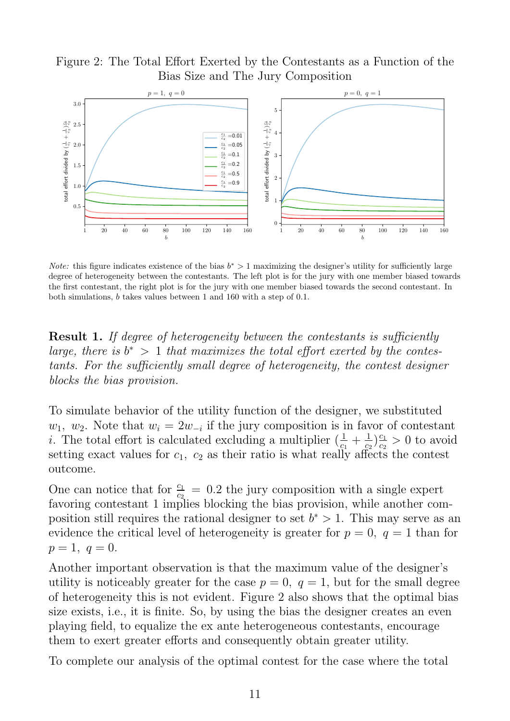Figure 2: The Total Effort Exerted by the Contestants as a Function of the Bias Size and The Jury Composition



*Note:* this figure indicates existence of the bias  $b^* > 1$  maximizing the designer's utility for sufficiently large degree of heterogeneity between the contestants. The left plot is for the jury with one member biased towards the first contestant, the right plot is for the jury with one member biased towards the second contestant. In both simulations, b takes values between 1 and 160 with a step of 0.1.

**Result 1.** If degree of heterogeneity between the contestants is sufficiently large, there is  $b^* > 1$  that maximizes the total effort exerted by the contestants. For the sufficiently small degree of heterogeneity, the contest designer blocks the bias provision.

To simulate behavior of the utility function of the designer, we substituted  $w_1, w_2$ . Note that  $w_i = 2w_{-i}$  if the jury composition is in favor of contestant *i*. The total effort is calculated excluding a multiplier  $\left(\frac{1}{c_1} + \frac{1}{c_2}\right)$  $\frac{1}{c_2}$ ) $\frac{c_1}{c_2}$  $\frac{c_1}{c_2} > 0$  to avoid setting exact values for  $c_1$ ,  $c_2$  as their ratio is what really affects the contest outcome.

One can notice that for  $\frac{c_1}{c_2} = 0.2$  the jury composition with a single expert favoring contestant 1 implies blocking the bias provision, while another composition still requires the rational designer to set  $b^* > 1$ . This may serve as an evidence the critical level of heterogeneity is greater for  $p = 0$ ,  $q = 1$  than for  $p = 1, q = 0.$ 

Another important observation is that the maximum value of the designer's utility is noticeably greater for the case  $p = 0$ ,  $q = 1$ , but for the small degree of heterogeneity this is not evident. Figure 2 also shows that the optimal bias size exists, i.e., it is finite. So, by using the bias the designer creates an even playing field, to equalize the ex ante heterogeneous contestants, encourage them to exert greater efforts and consequently obtain greater utility.

To complete our analysis of the optimal contest for the case where the total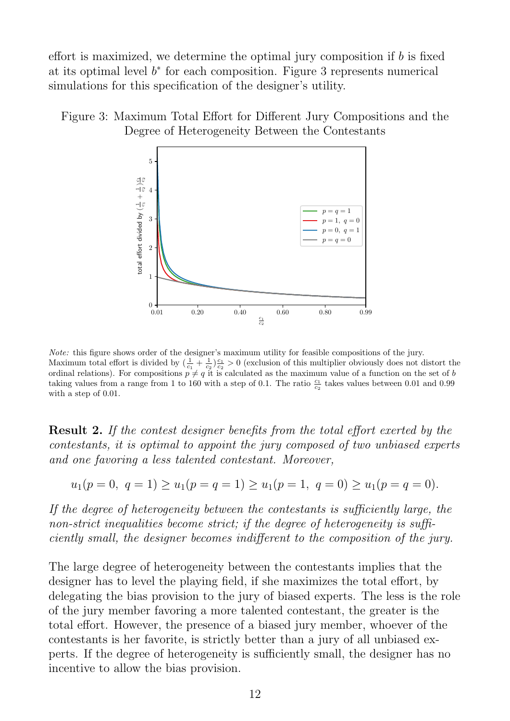effort is maximized, we determine the optimal jury composition if  $b$  is fixed at its optimal level  $b^*$  for each composition. Figure 3 represents numerical simulations for this specification of the designer's utility.





Note: this figure shows order of the designer's maximum utility for feasible compositions of the jury. Maximum total effort is divided by  $(\frac{1}{c_1} + \frac{1}{c_2})\frac{c_1}{c_2} > 0$  (exclusion of this multiplier obviously does not distort the ordinal relations). For compositions  $p \neq q$  it is calculated as the maximum value of a function on the set of b taking values from a range from 1 to 160 with a step of 0.1. The ratio  $\frac{c_1}{c_2}$  takes values between 0.01 and 0.99 with a step of 0.01.

Result 2. If the contest designer benefits from the total effort exerted by the contestants, it is optimal to appoint the jury composed of two unbiased experts and one favoring a less talented contestant. Moreover,

$$
u_1(p = 0, q = 1) \ge u_1(p = q = 1) \ge u_1(p = 1, q = 0) \ge u_1(p = q = 0).
$$

If the degree of heterogeneity between the contestants is sufficiently large, the non-strict inequalities become strict; if the degree of heterogeneity is sufficiently small, the designer becomes indifferent to the composition of the jury.

The large degree of heterogeneity between the contestants implies that the designer has to level the playing field, if she maximizes the total effort, by delegating the bias provision to the jury of biased experts. The less is the role of the jury member favoring a more talented contestant, the greater is the total effort. However, the presence of a biased jury member, whoever of the contestants is her favorite, is strictly better than a jury of all unbiased experts. If the degree of heterogeneity is sufficiently small, the designer has no incentive to allow the bias provision.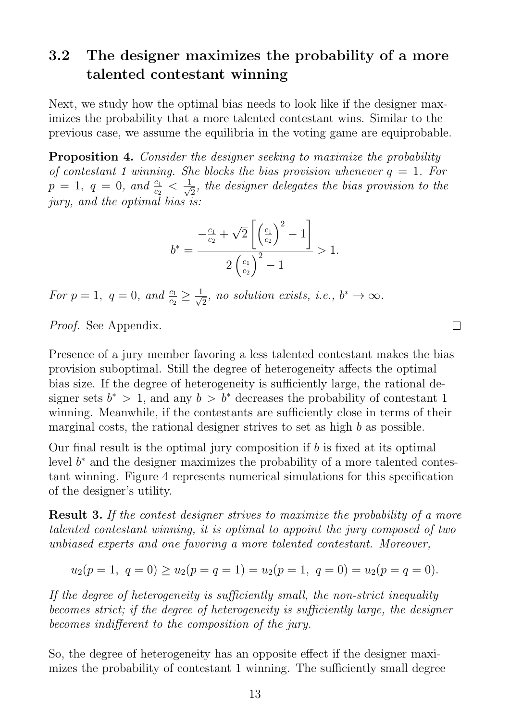#### 3.2 The designer maximizes the probability of a more talented contestant winning

Next, we study how the optimal bias needs to look like if the designer maximizes the probability that a more talented contestant wins. Similar to the previous case, we assume the equilibria in the voting game are equiprobable.

Proposition 4. Consider the designer seeking to maximize the probability of contestant 1 winning. She blocks the bias provision whenever  $q = 1$ . For  $p = 1, q = 0, and \frac{c_1}{c_2} < \frac{1}{\sqrt{2}}$  $\overline{z}_{\overline{2}},$  the designer delegates the bias provision to the jury, and the optimal bias is:

$$
b^* = \frac{-\frac{c_1}{c_2} + \sqrt{2}\left[\left(\frac{c_1}{c_2}\right)^2 - 1\right]}{2\left(\frac{c_1}{c_2}\right)^2 - 1} > 1.
$$

For  $p=1, q=0, and  $\frac{c_1}{c_2} \geq \frac{1}{\sqrt{2}}$$  $\frac{1}{2}$ , no solution exists, i.e.,  $b^* \to \infty$ .

Proof. See Appendix.

Presence of a jury member favoring a less talented contestant makes the bias provision suboptimal. Still the degree of heterogeneity affects the optimal bias size. If the degree of heterogeneity is sufficiently large, the rational designer sets  $b^* > 1$ , and any  $b > b^*$  decreases the probability of contestant 1 winning. Meanwhile, if the contestants are sufficiently close in terms of their marginal costs, the rational designer strives to set as high b as possible.

Our final result is the optimal jury composition if  $b$  is fixed at its optimal level  $b^*$  and the designer maximizes the probability of a more talented contestant winning. Figure 4 represents numerical simulations for this specification of the designer's utility.

Result 3. If the contest designer strives to maximize the probability of a more talented contestant winning, it is optimal to appoint the jury composed of two unbiased experts and one favoring a more talented contestant. Moreover,

$$
u_2(p = 1, q = 0) \ge u_2(p = q = 1) = u_2(p = 1, q = 0) = u_2(p = q = 0).
$$

If the degree of heterogeneity is sufficiently small, the non-strict inequality becomes strict; if the degree of heterogeneity is sufficiently large, the designer becomes indifferent to the composition of the jury.

So, the degree of heterogeneity has an opposite effect if the designer maximizes the probability of contestant 1 winning. The sufficiently small degree

 $\Box$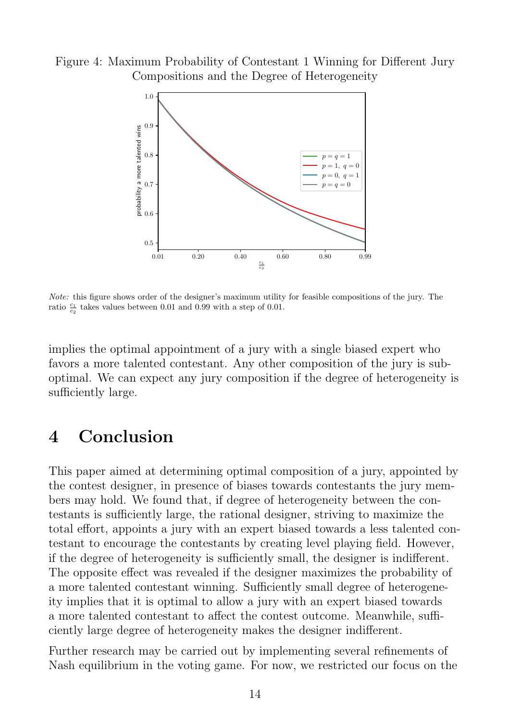Figure 4: Maximum Probability of Contestant 1 Winning for Different Jury Compositions and the Degree of Heterogeneity



Note: this figure shows order of the designer's maximum utility for feasible compositions of the jury. The ratio  $\frac{c_1}{c_2}$  takes values between 0.01 and 0.99 with a step of 0.01.

implies the optimal appointment of a jury with a single biased expert who favors a more talented contestant. Any other composition of the jury is suboptimal. We can expect any jury composition if the degree of heterogeneity is sufficiently large.

#### 4 Conclusion

This paper aimed at determining optimal composition of a jury, appointed by the contest designer, in presence of biases towards contestants the jury members may hold. We found that, if degree of heterogeneity between the contestants is sufficiently large, the rational designer, striving to maximize the total effort, appoints a jury with an expert biased towards a less talented contestant to encourage the contestants by creating level playing field. However, if the degree of heterogeneity is sufficiently small, the designer is indifferent. The opposite effect was revealed if the designer maximizes the probability of a more talented contestant winning. Sufficiently small degree of heterogeneity implies that it is optimal to allow a jury with an expert biased towards a more talented contestant to affect the contest outcome. Meanwhile, sufficiently large degree of heterogeneity makes the designer indifferent.

Further research may be carried out by implementing several refinements of Nash equilibrium in the voting game. For now, we restricted our focus on the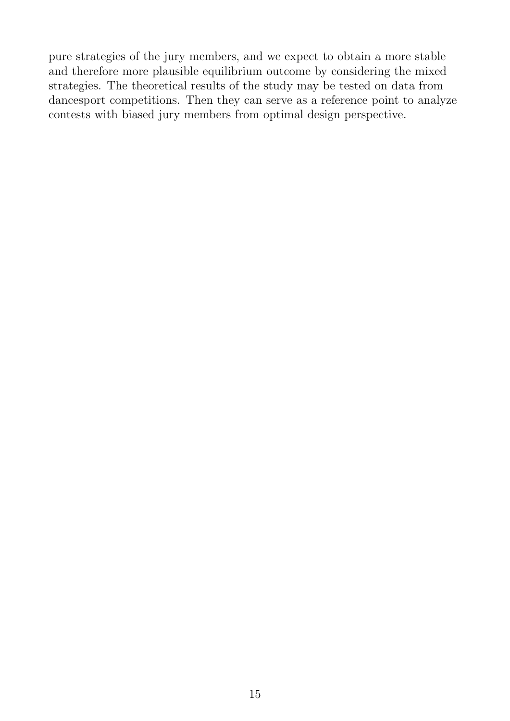pure strategies of the jury members, and we expect to obtain a more stable and therefore more plausible equilibrium outcome by considering the mixed strategies. The theoretical results of the study may be tested on data from dancesport competitions. Then they can serve as a reference point to analyze contests with biased jury members from optimal design perspective.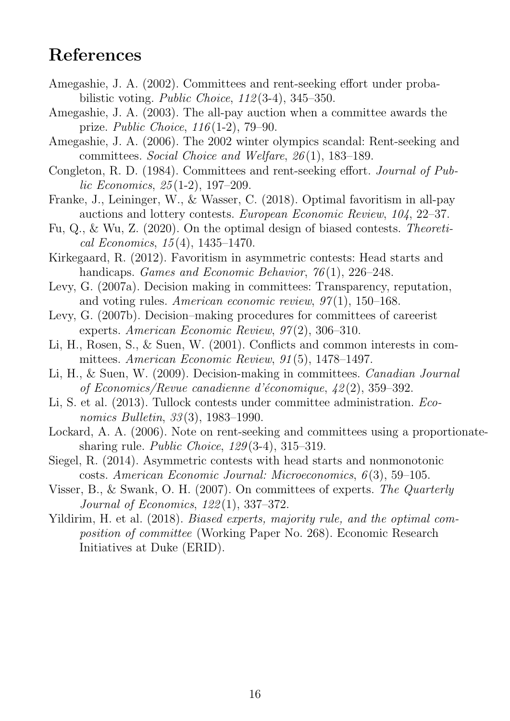### References

- Amegashie, J. A. (2002). Committees and rent-seeking effort under probabilistic voting. *Public Choice*,  $112(3-4)$ ,  $345-350$ .
- Amegashie, J. A. (2003). The all-pay auction when a committee awards the prize. Public Choice, 116 (1-2), 79–90.
- Amegashie, J. A. (2006). The 2002 winter olympics scandal: Rent-seeking and committees. Social Choice and Welfare, 26 (1), 183–189.
- Congleton, R. D. (1984). Committees and rent-seeking effort. Journal of Public Economics, 25 (1-2), 197–209.
- Franke, J., Leininger, W., & Wasser, C. (2018). Optimal favoritism in all-pay auctions and lottery contests. European Economic Review, 104, 22–37.
- Fu, Q., & Wu, Z. (2020). On the optimal design of biased contests. Theoretical Economics, 15 (4), 1435–1470.
- Kirkegaard, R. (2012). Favoritism in asymmetric contests: Head starts and handicaps. *Games and Economic Behavior*,  $76(1)$ , 226–248.
- Levy, G. (2007a). Decision making in committees: Transparency, reputation, and voting rules. American economic review,  $97(1)$ , 150–168.
- Levy, G. (2007b). Decision–making procedures for committees of careerist experts. American Economic Review,  $97(2)$ , 306-310.
- Li, H., Rosen, S., & Suen, W. (2001). Conflicts and common interests in committees. American Economic Review, 91 (5), 1478–1497.
- Li, H., & Suen, W. (2009). Decision-making in committees. Canadian Journal of Economics/Revue canadienne d'économique,  $\frac{1}{2}(2)$ , 359-392.
- Li, S. et al. (2013). Tullock contests under committee administration. Economics Bulletin, 33(3), 1983–1990.
- Lockard, A. A. (2006). Note on rent-seeking and committees using a proportionatesharing rule. Public Choice, 129 (3-4), 315–319.
- Siegel, R. (2014). Asymmetric contests with head starts and nonmonotonic costs. American Economic Journal: Microeconomics, 6 (3), 59–105.
- Visser, B., & Swank, O. H. (2007). On committees of experts. The Quarterly Journal of Economics, 122 (1), 337–372.
- Yildirim, H. et al. (2018). Biased experts, majority rule, and the optimal composition of committee (Working Paper No. 268). Economic Research Initiatives at Duke (ERID).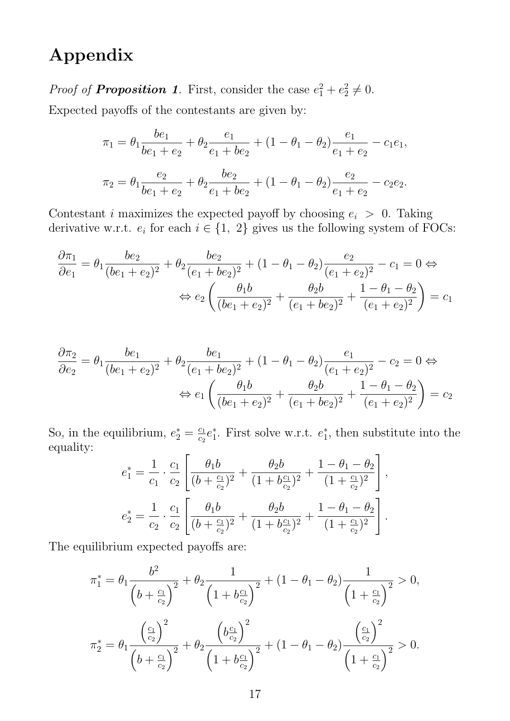## Appendix

*Proof of Proposition 1*. First, consider the case  $e_1^2 + e_2^2 \neq 0$ .

Expected payoffs of the contestants are given by:

$$
\pi_1 = \theta_1 \frac{be_1}{be_1 + e_2} + \theta_2 \frac{e_1}{e_1 + be_2} + (1 - \theta_1 - \theta_2) \frac{e_1}{e_1 + e_2} - c_1 e_1,
$$
  

$$
\pi_2 = \theta_1 \frac{e_2}{be_1 + e_2} + \theta_2 \frac{be_2}{e_1 + be_2} + (1 - \theta_1 - \theta_2) \frac{e_2}{e_1 + e_2} - c_2 e_2.
$$

Contestant *i* maximizes the expected payoff by choosing  $e_i > 0$ . Taking derivative w.r.t.  $e_i$  for each  $i \in \{1, 2\}$  gives us the following system of FOCs:

$$
\frac{\partial \pi_1}{\partial e_1} = \theta_1 \frac{be_2}{(be_1 + e_2)^2} + \theta_2 \frac{be_2}{(e_1 + be_2)^2} + (1 - \theta_1 - \theta_2) \frac{e_2}{(e_1 + e_2)^2} - c_1 = 0 \Leftrightarrow
$$

$$
\Leftrightarrow e_2 \left( \frac{\theta_1 b}{(be_1 + e_2)^2} + \frac{\theta_2 b}{(e_1 + be_2)^2} + \frac{1 - \theta_1 - \theta_2}{(e_1 + e_2)^2} \right) = c_1
$$

$$
\frac{\partial \pi_2}{\partial e_2} = \theta_1 \frac{be_1}{(be_1 + e_2)^2} + \theta_2 \frac{be_1}{(e_1 + be_2)^2} + (1 - \theta_1 - \theta_2) \frac{e_1}{(e_1 + e_2)^2} - c_2 = 0 \Leftrightarrow
$$

$$
\Leftrightarrow e_1 \left( \frac{\theta_1 b}{(be_1 + e_2)^2} + \frac{\theta_2 b}{(e_1 + be_2)^2} + \frac{1 - \theta_1 - \theta_2}{(e_1 + e_2)^2} \right) = c_2
$$

So, in the equilibrium,  $e_2^* = \frac{c_1}{c_2}$  $\frac{c_1}{c_2}e_1^*$  $i<sub>1</sub>$ . First solve w.r.t.  $e_1^*$ 1 , then substitute into the equality:

$$
e_1^* = \frac{1}{c_1} \cdot \frac{c_1}{c_2} \left[ \frac{\theta_1 b}{(b + \frac{c_1}{c_2})^2} + \frac{\theta_2 b}{(1 + b\frac{c_1}{c_2})^2} + \frac{1 - \theta_1 - \theta_2}{(1 + \frac{c_1}{c_2})^2} \right],
$$
  

$$
e_2^* = \frac{1}{c_2} \cdot \frac{c_1}{c_2} \left[ \frac{\theta_1 b}{(b + \frac{c_1}{c_2})^2} + \frac{\theta_2 b}{(1 + b\frac{c_1}{c_2})^2} + \frac{1 - \theta_1 - \theta_2}{(1 + \frac{c_1}{c_2})^2} \right].
$$

The equilibrium expected payoffs are:

$$
\pi_1^* = \theta_1 \frac{b^2}{\left(b + \frac{c_1}{c_2}\right)^2} + \theta_2 \frac{1}{\left(1 + b\frac{c_1}{c_2}\right)^2} + (1 - \theta_1 - \theta_2) \frac{1}{\left(1 + \frac{c_1}{c_2}\right)^2} > 0,
$$
\n
$$
\pi_2^* = \theta_1 \frac{\left(\frac{c_1}{c_2}\right)^2}{\left(b + \frac{c_1}{c_2}\right)^2} + \theta_2 \frac{\left(b\frac{c_1}{c_2}\right)^2}{\left(1 + b\frac{c_1}{c_2}\right)^2} + (1 - \theta_1 - \theta_2) \frac{\left(\frac{c_1}{c_2}\right)^2}{\left(1 + \frac{c_1}{c_2}\right)^2} > 0.
$$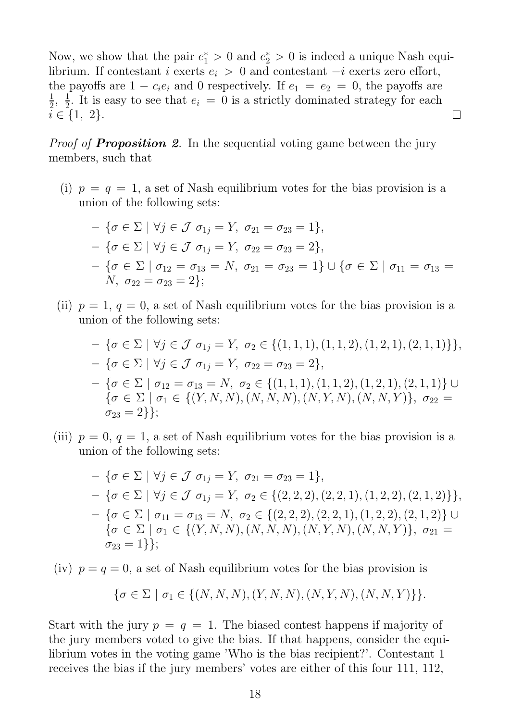Now, we show that the pair  $e_1^* > 0$  and  $e_2^* > 0$  is indeed a unique Nash equilibrium. If contestant i exerts  $e_i > 0$  and contestant  $-i$  exerts zero effort, the payoffs are  $1 - c_i e_i$  and 0 respectively. If  $e_1 = e_2 = 0$ , the payoffs are  $\frac{1}{2}$ ,  $\frac{1}{2}$ 1  $\frac{1}{2}$ . It is easy to see that  $e_i = 0$  is a strictly dominated strategy for each  $i \in \{1, 2\}.$  $\Box$ 

*Proof of Proposition 2*. In the sequential voting game between the jury members, such that

(i)  $p = q = 1$ , a set of Nash equilibrium votes for the bias provision is a union of the following sets:

$$
- \{ \sigma \in \Sigma \mid \forall j \in \mathcal{J} \ \sigma_{1j} = Y, \ \sigma_{21} = \sigma_{23} = 1 \},
$$
  

$$
- \{ \sigma \in \Sigma \mid \forall j \in \mathcal{J} \ \sigma_{1j} = Y, \ \sigma_{22} = \sigma_{23} = 2 \},
$$
  

$$
- \{ \sigma \in \Sigma \mid \sigma_{12} = \sigma_{13} = N, \ \sigma_{21} = \sigma_{23} = 1 \} \cup \{ \sigma \in \Sigma \mid \sigma_{11} = \sigma_{13} = N, \ \sigma_{22} = \sigma_{23} = 2 \};
$$

(ii)  $p = 1, q = 0$ , a set of Nash equilibrium votes for the bias provision is a union of the following sets:

$$
- \{\sigma \in \Sigma \mid \forall j \in \mathcal{J} \ \sigma_{1j} = Y, \ \sigma_2 \in \{(1, 1, 1), (1, 1, 2), (1, 2, 1), (2, 1, 1)\}\},
$$
  

$$
- \{\sigma \in \Sigma \mid \forall j \in \mathcal{J} \ \sigma_{1j} = Y, \ \sigma_{22} = \sigma_{23} = 2\},
$$
  

$$
- \{\sigma \in \Sigma \mid \sigma_{12} = \sigma_{13} = N, \ \sigma_2 \in \{(1, 1, 1), (1, 1, 2), (1, 2, 1), (2, 1, 1)\} \cup
$$
  

$$
\{\sigma \in \Sigma \mid \sigma_1 \in \{(Y, N, N), (N, N, N), (N, Y, N), (N, N, Y)\}, \ \sigma_{22} = \sigma_{23} = 2\}\};
$$

(iii)  $p = 0$ ,  $q = 1$ , a set of Nash equilibrium votes for the bias provision is a union of the following sets:

$$
- \{\sigma \in \Sigma \mid \forall j \in \mathcal{J} \ \sigma_{1j} = Y, \ \sigma_{21} = \sigma_{23} = 1\},
$$
  
\n
$$
- \{\sigma \in \Sigma \mid \forall j \in \mathcal{J} \ \sigma_{1j} = Y, \ \sigma_2 \in \{(2, 2, 2), (2, 2, 1), (1, 2, 2), (2, 1, 2)\}\},
$$
  
\n
$$
- \{\sigma \in \Sigma \mid \sigma_{11} = \sigma_{13} = N, \ \sigma_2 \in \{(2, 2, 2), (2, 2, 1), (1, 2, 2), (2, 1, 2)\} \cup
$$
  
\n
$$
\{\sigma \in \Sigma \mid \sigma_1 \in \{(Y, N, N), (N, N, N), (N, Y, N), (N, N, Y)\}, \ \sigma_{21} = \sigma_{23} = 1\}\};
$$

(iv)  $p = q = 0$ , a set of Nash equilibrium votes for the bias provision is

$$
\{\sigma \in \Sigma \mid \sigma_1 \in \{(N, N, N), (Y, N, N), (N, Y, N), (N, N, Y)\}\}.
$$

Start with the jury  $p = q = 1$ . The biased contest happens if majority of the jury members voted to give the bias. If that happens, consider the equilibrium votes in the voting game 'Who is the bias recipient?'. Contestant 1 receives the bias if the jury members' votes are either of this four 111, 112,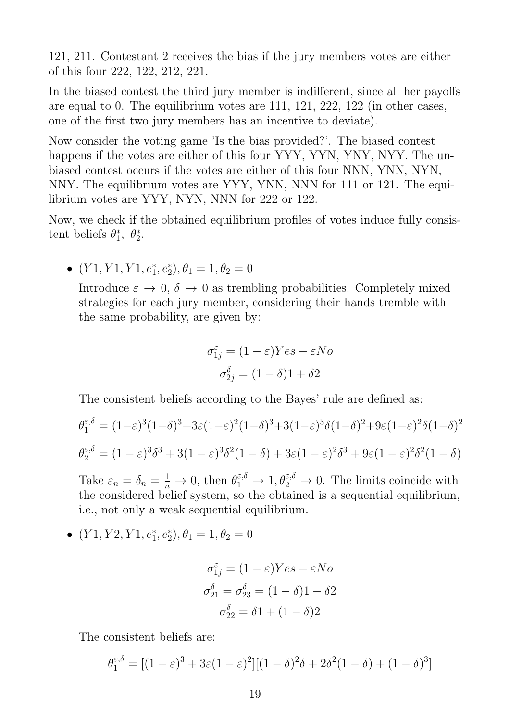121, 211. Contestant 2 receives the bias if the jury members votes are either of this four 222, 122, 212, 221.

In the biased contest the third jury member is indifferent, since all her payoffs are equal to 0. The equilibrium votes are 111, 121, 222, 122 (in other cases, one of the first two jury members has an incentive to deviate).

Now consider the voting game 'Is the bias provided?'. The biased contest happens if the votes are either of this four YYY, YYN, YNY, NYY. The unbiased contest occurs if the votes are either of this four NNN, YNN, NYN, NNY. The equilibrium votes are YYY, YNN, NNN for 111 or 121. The equilibrium votes are YYY, NYN, NNN for 222 or 122.

Now, we check if the obtained equilibrium profiles of votes induce fully consistent beliefs  $\theta_1^*$  $_{1}^{*}, \theta_{2}^{*}.$ 

•  $(Y1, Y1, Y1, e_1^*, e_2^*), \theta_1 = 1, \theta_2 = 0$ 

Introduce  $\varepsilon \to 0$ ,  $\delta \to 0$  as trembling probabilities. Completely mixed strategies for each jury member, considering their hands tremble with the same probability, are given by:

$$
\sigma_{1j}^{\varepsilon} = (1 - \varepsilon) Yes + \varepsilon No
$$

$$
\sigma_{2j}^{\delta} = (1 - \delta)1 + \delta 2
$$

The consistent beliefs according to the Bayes' rule are defined as:

$$
\theta_1^{\varepsilon,\delta} = (1-\varepsilon)^3 (1-\delta)^3 + 3\varepsilon (1-\varepsilon)^2 (1-\delta)^3 + 3(1-\varepsilon)^3 \delta (1-\delta)^2 + 9\varepsilon (1-\varepsilon)^2 \delta (1-\delta)^2
$$
  

$$
\theta_2^{\varepsilon,\delta} = (1-\varepsilon)^3 \delta^3 + 3(1-\varepsilon)^3 \delta^2 (1-\delta) + 3\varepsilon (1-\varepsilon)^2 \delta^3 + 9\varepsilon (1-\varepsilon)^2 \delta^2 (1-\delta)
$$

Take  $\varepsilon_n = \delta_n = \frac{1}{n}$  $\frac{1}{n} \to 0$ , then  $\theta_1^{\varepsilon,\delta} \to 1, \theta_2^{\varepsilon,\delta} \to 0$ . The limits coincide with the considered belief system, so the obtained is a sequential equilibrium, i.e., not only a weak sequential equilibrium.

•  $(Y1, Y2, Y1, e_1^*, e_2^*), \theta_1 = 1, \theta_2 = 0$ 

$$
\sigma_{1j}^{\varepsilon} = (1 - \varepsilon) Yes + \varepsilon No
$$

$$
\sigma_{21}^{\delta} = \sigma_{23}^{\delta} = (1 - \delta)1 + \delta 2
$$

$$
\sigma_{22}^{\delta} = \delta 1 + (1 - \delta)2
$$

The consistent beliefs are:

$$
\theta_1^{\varepsilon,\delta} = [(1-\varepsilon)^3 + 3\varepsilon(1-\varepsilon)^2][(1-\delta)^2\delta + 2\delta^2(1-\delta) + (1-\delta)^3]
$$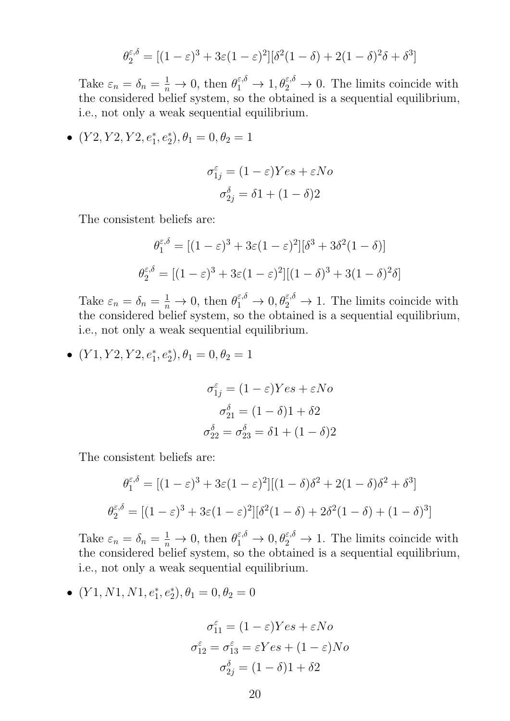$$
\theta_2^{\varepsilon,\delta} = [(1-\varepsilon)^3 + 3\varepsilon(1-\varepsilon)^2][\delta^2(1-\delta) + 2(1-\delta)^2\delta + \delta^3]
$$

Take  $\varepsilon_n = \delta_n = \frac{1}{n}$  $\frac{1}{n} \to 0$ , then  $\theta_1^{\varepsilon,\delta} \to 1, \theta_2^{\varepsilon,\delta} \to 0$ . The limits coincide with the considered belief system, so the obtained is a sequential equilibrium, i.e., not only a weak sequential equilibrium.

•  $(Y2, Y2, Y2, e_1^*, e_2^*), \theta_1 = 0, \theta_2 = 1$ 

$$
\sigma_{1j}^{\varepsilon} = (1 - \varepsilon) Yes + \varepsilon No
$$

$$
\sigma_{2j}^{\delta} = \delta 1 + (1 - \delta)2
$$

The consistent beliefs are:

$$
\theta_1^{\varepsilon,\delta} = [(1-\varepsilon)^3 + 3\varepsilon(1-\varepsilon)^2][\delta^3 + 3\delta^2(1-\delta)]
$$

$$
\theta_2^{\varepsilon,\delta} = [(1-\varepsilon)^3 + 3\varepsilon(1-\varepsilon)^2][(1-\delta)^3 + 3(1-\delta)^2\delta]
$$

Take  $\varepsilon_n = \delta_n = \frac{1}{n}$  $\frac{1}{n} \to 0$ , then  $\theta_1^{\varepsilon,\delta} \to 0$ ,  $\theta_2^{\varepsilon,\delta} \to 1$ . The limits coincide with the considered belief system, so the obtained is a sequential equilibrium, i.e., not only a weak sequential equilibrium.

•  $(Y1, Y2, Y2, e_1^*, e_2^*), \theta_1 = 0, \theta_2 = 1$ 

$$
\sigma_{1j}^{\varepsilon} = (1 - \varepsilon) Yes + \varepsilon No
$$

$$
\sigma_{21}^{\delta} = (1 - \delta)1 + \delta 2
$$

$$
\sigma_{22}^{\delta} = \sigma_{23}^{\delta} = \delta 1 + (1 - \delta)2
$$

The consistent beliefs are:

$$
\theta_1^{\varepsilon,\delta} = [(1-\varepsilon)^3 + 3\varepsilon(1-\varepsilon)^2][(1-\delta)\delta^2 + 2(1-\delta)\delta^2 + \delta^3]
$$

$$
\theta_2^{\varepsilon,\delta} = [(1-\varepsilon)^3 + 3\varepsilon(1-\varepsilon)^2][\delta^2(1-\delta) + 2\delta^2(1-\delta) + (1-\delta)^3]
$$

Take  $\varepsilon_n = \delta_n = \frac{1}{n}$  $\frac{1}{n} \to 0$ , then  $\theta_1^{\varepsilon,\delta} \to 0$ ,  $\theta_2^{\varepsilon,\delta} \to 1$ . The limits coincide with the considered belief system, so the obtained is a sequential equilibrium, i.e., not only a weak sequential equilibrium.

•  $(Y1, N1, N1, e_1^*, e_2^*), \theta_1 = 0, \theta_2 = 0$ 

$$
\sigma_{11}^{\varepsilon} = (1 - \varepsilon) Yes + \varepsilon No
$$

$$
\sigma_{12}^{\varepsilon} = \sigma_{13}^{\varepsilon} = \varepsilon Yes + (1 - \varepsilon) No
$$

$$
\sigma_{2j}^{\delta} = (1 - \delta)1 + \delta 2
$$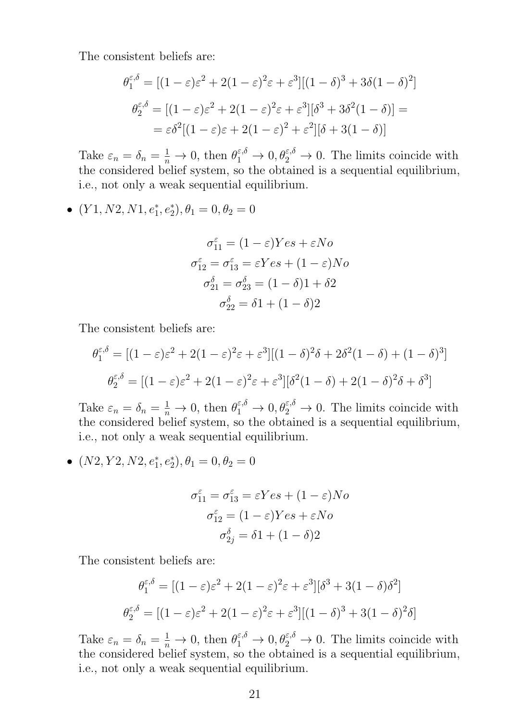The consistent beliefs are:

$$
\theta_1^{\varepsilon,\delta} = \left[ (1-\varepsilon)\varepsilon^2 + 2(1-\varepsilon)^2 \varepsilon + \varepsilon^3 \right] \left[ (1-\delta)^3 + 3\delta(1-\delta)^2 \right]
$$

$$
\theta_2^{\varepsilon,\delta} = \left[ (1-\varepsilon)\varepsilon^2 + 2(1-\varepsilon)^2 \varepsilon + \varepsilon^3 \right] \left[ \delta^3 + 3\delta^2(1-\delta) \right] =
$$

$$
= \varepsilon \delta^2 \left[ (1-\varepsilon)\varepsilon + 2(1-\varepsilon)^2 + \varepsilon^2 \right] \left[ \delta + 3(1-\delta) \right]
$$

Take  $\varepsilon_n = \delta_n = \frac{1}{n}$  $\frac{1}{n} \to 0$ , then  $\theta_1^{\varepsilon,\delta} \to 0$ ,  $\theta_2^{\varepsilon,\delta} \to 0$ . The limits coincide with the considered belief system, so the obtained is a sequential equilibrium, i.e., not only a weak sequential equilibrium.

•  $(Y1, N2, N1, e_1^*, e_2^*), \theta_1 = 0, \theta_2 = 0$ 

$$
\sigma_{11}^{\varepsilon} = (1 - \varepsilon) Yes + \varepsilon No
$$

$$
\sigma_{12}^{\varepsilon} = \sigma_{13}^{\varepsilon} = \varepsilon Yes + (1 - \varepsilon) No
$$

$$
\sigma_{21}^{\delta} = \sigma_{23}^{\delta} = (1 - \delta)1 + \delta 2
$$

$$
\sigma_{22}^{\delta} = \delta 1 + (1 - \delta)2
$$

The consistent beliefs are:

$$
\theta_1^{\varepsilon,\delta} = [(1-\varepsilon)\varepsilon^2 + 2(1-\varepsilon)^2\varepsilon + \varepsilon^3][(1-\delta)^2\delta + 2\delta^2(1-\delta) + (1-\delta)^3]
$$

$$
\theta_2^{\varepsilon,\delta} = [(1-\varepsilon)\varepsilon^2 + 2(1-\varepsilon)^2\varepsilon + \varepsilon^3][\delta^2(1-\delta) + 2(1-\delta)^2\delta + \delta^3]
$$

Take  $\varepsilon_n = \delta_n = \frac{1}{n}$  $\frac{1}{n} \to 0$ , then  $\theta_1^{\varepsilon,\delta} \to 0$ ,  $\theta_2^{\varepsilon,\delta} \to 0$ . The limits coincide with the considered belief system, so the obtained is a sequential equilibrium, i.e., not only a weak sequential equilibrium.

•  $(N2, Y2, N2, e_1^*, e_2^*), \theta_1 = 0, \theta_2 = 0$ 

$$
\sigma_{11}^{\varepsilon} = \sigma_{13}^{\varepsilon} = \varepsilon Y e s + (1 - \varepsilon) N o
$$

$$
\sigma_{12}^{\varepsilon} = (1 - \varepsilon) Y e s + \varepsilon N o
$$

$$
\sigma_{2j}^{\delta} = \delta 1 + (1 - \delta) 2
$$

The consistent beliefs are:

$$
\theta_1^{\varepsilon,\delta} = [(1-\varepsilon)\varepsilon^2 + 2(1-\varepsilon)^2\varepsilon + \varepsilon^3][\delta^3 + 3(1-\delta)\delta^2]
$$

$$
\theta_2^{\varepsilon,\delta} = [(1-\varepsilon)\varepsilon^2 + 2(1-\varepsilon)^2\varepsilon + \varepsilon^3][(1-\delta)^3 + 3(1-\delta)^2\delta]
$$

Take  $\varepsilon_n = \delta_n = \frac{1}{n}$  $\frac{1}{n} \to 0$ , then  $\theta_1^{\varepsilon,\delta} \to 0$ ,  $\theta_2^{\varepsilon,\delta} \to 0$ . The limits coincide with the considered belief system, so the obtained is a sequential equilibrium, i.e., not only a weak sequential equilibrium.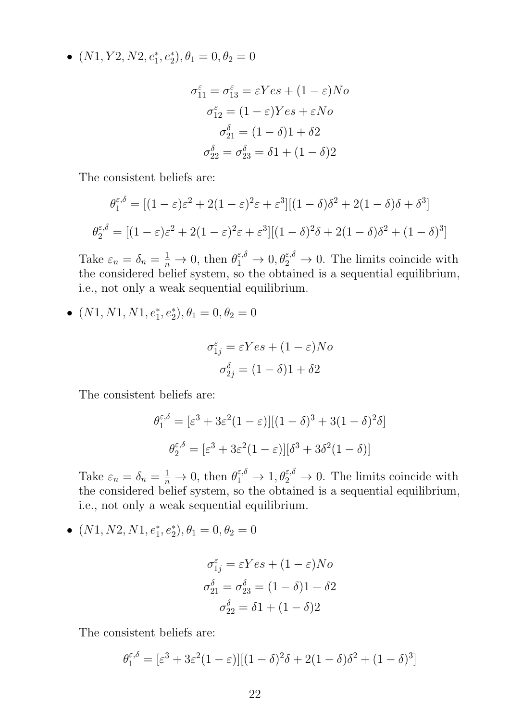•  $(N1, Y2, N2, e_1^*, e_2^*), \theta_1 = 0, \theta_2 = 0$ 

$$
\sigma_{11}^{\varepsilon} = \sigma_{13}^{\varepsilon} = \varepsilon Yes + (1 - \varepsilon)No
$$

$$
\sigma_{12}^{\varepsilon} = (1 - \varepsilon)Yes + \varepsilon No
$$

$$
\sigma_{21}^{\delta} = (1 - \delta)1 + \delta 2
$$

$$
\sigma_{22}^{\delta} = \sigma_{23}^{\delta} = \delta 1 + (1 - \delta)2
$$

The consistent beliefs are:

$$
\theta_1^{\varepsilon,\delta} = \left[ (1-\varepsilon)\varepsilon^2 + 2(1-\varepsilon)^2\varepsilon + \varepsilon^3 \right] \left[ (1-\delta)\delta^2 + 2(1-\delta)\delta + \delta^3 \right]
$$

$$
\theta_2^{\varepsilon,\delta} = \left[ (1-\varepsilon)\varepsilon^2 + 2(1-\varepsilon)^2\varepsilon + \varepsilon^3 \right] \left[ (1-\delta)^2\delta + 2(1-\delta)\delta^2 + (1-\delta)^3 \right]
$$

Take  $\varepsilon_n = \delta_n = \frac{1}{n}$  $\frac{1}{n} \to 0$ , then  $\theta_1^{\varepsilon,\delta} \to 0$ ,  $\theta_2^{\varepsilon,\delta} \to 0$ . The limits coincide with the considered belief system, so the obtained is a sequential equilibrium, i.e., not only a weak sequential equilibrium.

•  $(N1, N1, N1, e_1^*, e_2^*), \theta_1 = 0, \theta_2 = 0$ 

$$
\sigma_{1j}^{\varepsilon} = \varepsilon Yes + (1 - \varepsilon)No
$$

$$
\sigma_{2j}^{\delta} = (1 - \delta)1 + \delta 2
$$

The consistent beliefs are:

$$
\theta_1^{\varepsilon,\delta} = [\varepsilon^3 + 3\varepsilon^2 (1 - \varepsilon)][(1 - \delta)^3 + 3(1 - \delta)^2 \delta]
$$

$$
\theta_2^{\varepsilon,\delta} = [\varepsilon^3 + 3\varepsilon^2 (1 - \varepsilon)][\delta^3 + 3\delta^2 (1 - \delta)]
$$

Take  $\varepsilon_n = \delta_n = \frac{1}{n}$  $\frac{1}{n} \to 0$ , then  $\theta_1^{\varepsilon,\delta} \to 1, \theta_2^{\varepsilon,\delta} \to 0$ . The limits coincide with the considered belief system, so the obtained is a sequential equilibrium, i.e., not only a weak sequential equilibrium.

•  $(N1, N2, N1, e_1^*, e_2^*), \theta_1 = 0, \theta_2 = 0$ 

$$
\sigma_{1j}^{\varepsilon} = \varepsilon Yes + (1 - \varepsilon)No
$$

$$
\sigma_{21}^{\delta} = \sigma_{23}^{\delta} = (1 - \delta)1 + \delta 2
$$

$$
\sigma_{22}^{\delta} = \delta 1 + (1 - \delta)2
$$

The consistent beliefs are:

$$
\theta_1^{\varepsilon,\delta} = [\varepsilon^3 + 3\varepsilon^2 (1-\varepsilon)][(1-\delta)^2 \delta + 2(1-\delta)\delta^2 + (1-\delta)^3]
$$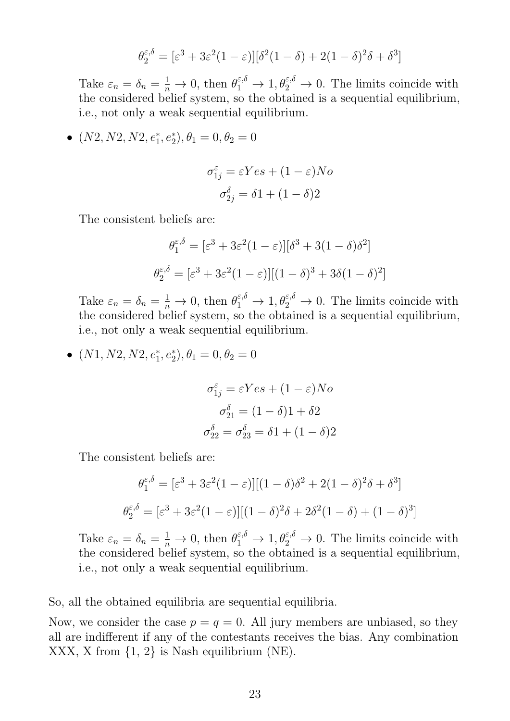$$
\theta_2^{\varepsilon,\delta} = [\varepsilon^3 + 3\varepsilon^2 (1-\varepsilon)][\delta^2 (1-\delta) + 2(1-\delta)^2 \delta + \delta^3]
$$

Take  $\varepsilon_n = \delta_n = \frac{1}{n}$  $\frac{1}{n} \to 0$ , then  $\theta_1^{\varepsilon,\delta} \to 1, \theta_2^{\varepsilon,\delta} \to 0$ . The limits coincide with the considered belief system, so the obtained is a sequential equilibrium, i.e., not only a weak sequential equilibrium.

•  $(N2, N2, N2, e_1^*, e_2^*), \theta_1 = 0, \theta_2 = 0$ 

$$
\sigma_{1j}^{\varepsilon} = \varepsilon Yes + (1 - \varepsilon)No
$$

$$
\sigma_{2j}^{\delta} = \delta 1 + (1 - \delta)2
$$

The consistent beliefs are:

$$
\theta_1^{\varepsilon,\delta} = [\varepsilon^3 + 3\varepsilon^2 (1 - \varepsilon)][\delta^3 + 3(1 - \delta)\delta^2]
$$

$$
\theta_2^{\varepsilon,\delta} = [\varepsilon^3 + 3\varepsilon^2 (1 - \varepsilon)][(1 - \delta)^3 + 3\delta(1 - \delta)^2]
$$

Take  $\varepsilon_n = \delta_n = \frac{1}{n}$  $\frac{1}{n} \to 0$ , then  $\theta_1^{\varepsilon,\delta} \to 1, \theta_2^{\varepsilon,\delta} \to 0$ . The limits coincide with the considered belief system, so the obtained is a sequential equilibrium, i.e., not only a weak sequential equilibrium.

•  $(N1, N2, N2, e_1^*, e_2^*), \theta_1 = 0, \theta_2 = 0$ 

$$
\sigma_{1j}^{\varepsilon} = \varepsilon Y e s + (1 - \varepsilon) N o
$$

$$
\sigma_{21}^{\delta} = (1 - \delta) 1 + \delta 2
$$

$$
\sigma_{22}^{\delta} = \sigma_{23}^{\delta} = \delta 1 + (1 - \delta) 2
$$

The consistent beliefs are:

$$
\theta_1^{\varepsilon,\delta} = [\varepsilon^3 + 3\varepsilon^2 (1 - \varepsilon)][(1 - \delta)\delta^2 + 2(1 - \delta)^2 \delta + \delta^3]
$$

$$
\theta_2^{\varepsilon,\delta} = [\varepsilon^3 + 3\varepsilon^2 (1 - \varepsilon)][(1 - \delta)^2 \delta + 2\delta^2 (1 - \delta) + (1 - \delta)^3]
$$

Take  $\varepsilon_n = \delta_n = \frac{1}{n}$  $\frac{1}{n} \to 0$ , then  $\theta_1^{\varepsilon,\delta} \to 1, \theta_2^{\varepsilon,\delta} \to 0$ . The limits coincide with the considered belief system, so the obtained is a sequential equilibrium, i.e., not only a weak sequential equilibrium.

So, all the obtained equilibria are sequential equilibria.

Now, we consider the case  $p = q = 0$ . All jury members are unbiased, so they all are indifferent if any of the contestants receives the bias. Any combination XXX, X from {1, 2} is Nash equilibrium (NE).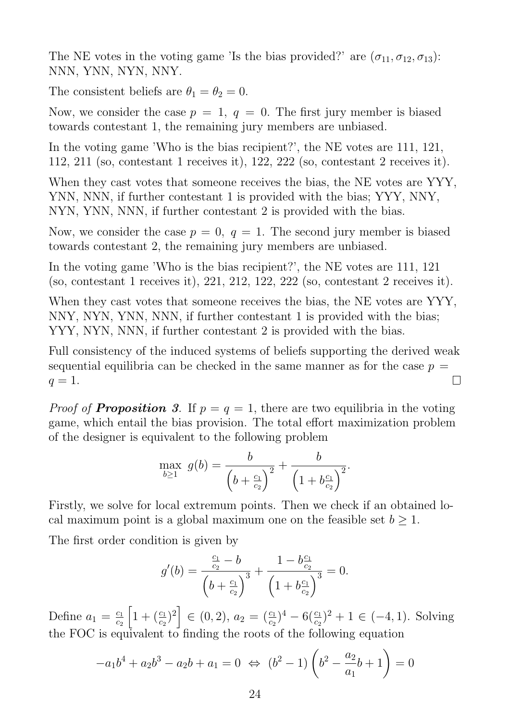The NE votes in the voting game 'Is the bias provided?' are  $(\sigma_{11}, \sigma_{12}, \sigma_{13})$ : NNN, YNN, NYN, NNY.

The consistent beliefs are  $\theta_1 = \theta_2 = 0$ .

Now, we consider the case  $p = 1$ ,  $q = 0$ . The first jury member is biased towards contestant 1, the remaining jury members are unbiased.

In the voting game 'Who is the bias recipient?', the NE votes are 111, 121, 112, 211 (so, contestant 1 receives it), 122, 222 (so, contestant 2 receives it).

When they cast votes that someone receives the bias, the NE votes are YYY, YNN, NNN, if further contestant 1 is provided with the bias; YYY, NNY, NYN, YNN, NNN, if further contestant 2 is provided with the bias.

Now, we consider the case  $p = 0$ ,  $q = 1$ . The second jury member is biased towards contestant 2, the remaining jury members are unbiased.

In the voting game 'Who is the bias recipient?', the NE votes are 111, 121 (so, contestant 1 receives it), 221, 212, 122, 222 (so, contestant 2 receives it).

When they cast votes that someone receives the bias, the NE votes are YYY, NNY, NYN, YNN, NNN, if further contestant 1 is provided with the bias; YYY, NYN, NNN, if further contestant 2 is provided with the bias.

Full consistency of the induced systems of beliefs supporting the derived weak sequential equilibria can be checked in the same manner as for the case  $p =$  $\Box$  $q=1$ .

*Proof of Proposition* 3. If  $p = q = 1$ , there are two equilibria in the voting game, which entail the bias provision. The total effort maximization problem of the designer is equivalent to the following problem

$$
\max_{b\geq 1} g(b) = \frac{b}{\left(b + \frac{c_1}{c_2}\right)^2} + \frac{b}{\left(1 + b\frac{c_1}{c_2}\right)^2}.
$$

Firstly, we solve for local extremum points. Then we check if an obtained local maximum point is a global maximum one on the feasible set  $b \geq 1$ .

The first order condition is given by

$$
g'(b) = \frac{\frac{c_1}{c_2} - b}{\left(b + \frac{c_1}{c_2}\right)^3} + \frac{1 - b\frac{c_1}{c_2}}{\left(1 + b\frac{c_1}{c_2}\right)^3} = 0.
$$

Define  $a_1 = \frac{c_1}{c_2}$  $\overline{c_2}$  $\left[1 + \left(\frac{c_1}{c_2}\right)^2\right] \in (0, 2), a_2 = \left(\frac{c_1}{c_2}\right)^4 - 6\left(\frac{c_1}{c_2}\right)^2 + 1 \in (-4, 1).$  Solving the FOC is equivalent to finding the roots of the following equation

$$
-a_1b^4 + a_2b^3 - a_2b + a_1 = 0 \Leftrightarrow (b^2 - 1)\left(b^2 - \frac{a_2}{a_1}b + 1\right) = 0
$$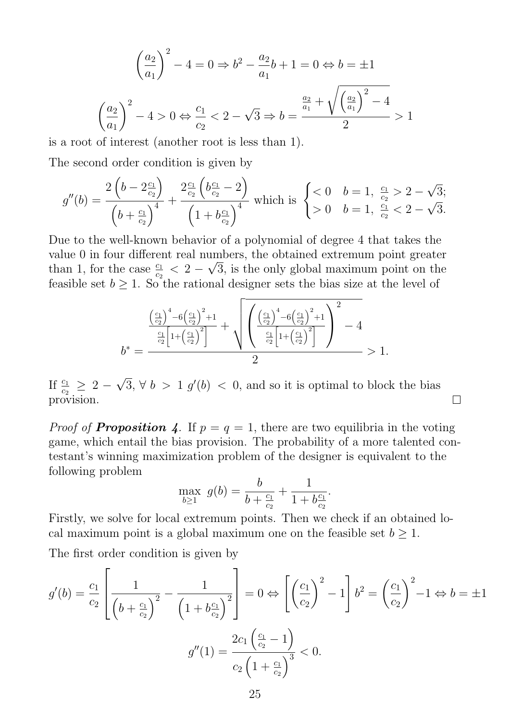$$
\left(\frac{a_2}{a_1}\right)^2 - 4 = 0 \Rightarrow b^2 - \frac{a_2}{a_1}b + 1 = 0 \Leftrightarrow b = \pm 1
$$

$$
\left(\frac{a_2}{a_1}\right)^2 - 4 > 0 \Leftrightarrow \frac{c_1}{c_2} < 2 - \sqrt{3} \Rightarrow b = \frac{\frac{a_2}{a_1} + \sqrt{\left(\frac{a_2}{a_1}\right)^2 - 4}}{2} > 1
$$

is a root of interest (another root is less than 1).

The second order condition is given by

$$
g''(b) = \frac{2\left(b - 2\frac{c_1}{c_2}\right)}{\left(b + \frac{c_1}{c_2}\right)^4} + \frac{2\frac{c_1}{c_2}\left(b\frac{c_1}{c_2} - 2\right)}{\left(1 + b\frac{c_1}{c_2}\right)^4} \text{ which is } \begin{cases} < 0 & b = 1, \frac{c_1}{c_2} > 2 - \sqrt{3}; \\ > 0 & b = 1, \frac{c_1}{c_2} < 2 - \sqrt{3}. \end{cases}
$$

Due to the well-known behavior of a polynomial of degree 4 that takes the value 0 in four different real numbers, the obtained extremum point greater than 1, for the case  $\frac{c_1}{c_2} < 2 - \sqrt{3}$ , is the only global maximum point on the feasible set  $b \geq 1$ . So the rational designer sets the bias size at the level of

$$
b^* = \frac{\left(\frac{c_1}{c_2}\right)^4 - 6\left(\frac{c_1}{c_2}\right)^2 + 1}{2} + \sqrt{\left(\frac{\left(\frac{c_1}{c_2}\right)^4 - 6\left(\frac{c_1}{c_2}\right)^2 + 1}{\frac{c_1}{c_2}\left[1 + \left(\frac{c_1}{c_2}\right)^2\right]}\right)^2 - 4}
$$
  

$$
b^* = \frac{2}{}
$$

√ If  $\frac{c_1}{c_2} \geq 2$  –  $\overline{3}$ ,  $\forall b > 1$   $g'(b) < 0$ , and so it is optimal to block the bias  $\Box$ provision.

*Proof of Proposition 4*. If  $p = q = 1$ , there are two equilibria in the voting game, which entail the bias provision. The probability of a more talented contestant's winning maximization problem of the designer is equivalent to the following problem

$$
\max_{b \ge 1} g(b) = \frac{b}{b + \frac{c_1}{c_2}} + \frac{1}{1 + b\frac{c_1}{c_2}}.
$$

Firstly, we solve for local extremum points. Then we check if an obtained local maximum point is a global maximum one on the feasible set  $b \geq 1$ .

The first order condition is given by

$$
g'(b) = \frac{c_1}{c_2} \left[ \frac{1}{\left(b + \frac{c_1}{c_2}\right)^2} - \frac{1}{\left(1 + b\frac{c_1}{c_2}\right)^2} \right] = 0 \Leftrightarrow \left[ \left(\frac{c_1}{c_2}\right)^2 - 1 \right] b^2 = \left(\frac{c_1}{c_2}\right)^2 - 1 \Leftrightarrow b = \pm 1
$$

$$
g''(1) = \frac{2c_1 \left(\frac{c_1}{c_2} - 1\right)}{c_2 \left(1 + \frac{c_1}{c_2}\right)^3} < 0.
$$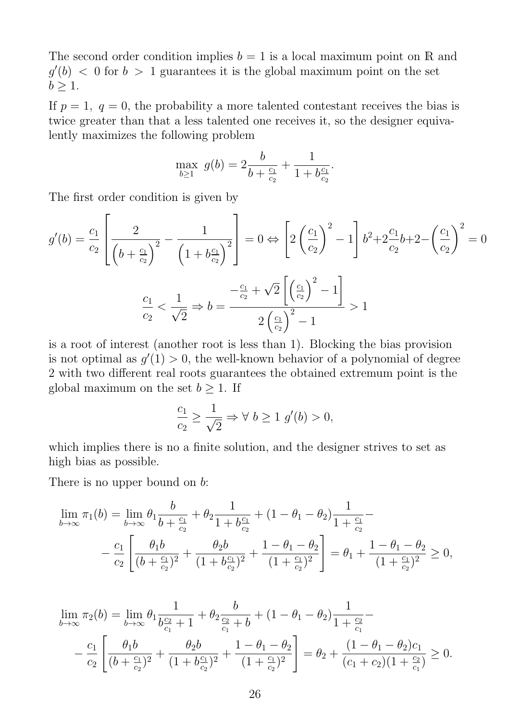The second order condition implies  $b = 1$  is a local maximum point on R and  $g'(b)$  < 0 for  $b > 1$  guarantees it is the global maximum point on the set  $b \geq 1$ .

If  $p = 1$ ,  $q = 0$ , the probability a more talented contestant receives the bias is twice greater than that a less talented one receives it, so the designer equivalently maximizes the following problem

$$
\max_{b \ge 1} g(b) = 2\frac{b}{b + \frac{c_1}{c_2}} + \frac{1}{1 + b\frac{c_1}{c_2}}.
$$

The first order condition is given by

$$
g'(b) = \frac{c_1}{c_2} \left[ \frac{2}{\left(b + \frac{c_1}{c_2}\right)^2} - \frac{1}{\left(1 + b\frac{c_1}{c_2}\right)^2} \right] = 0 \Leftrightarrow \left[ 2\left(\frac{c_1}{c_2}\right)^2 - 1 \right] b^2 + 2\frac{c_1}{c_2}b + 2 - \left(\frac{c_1}{c_2}\right)^2 = 0
$$

$$
\frac{c_1}{c_2} < \frac{1}{\sqrt{2}} \Rightarrow b = \frac{-\frac{c_1}{c_2} + \sqrt{2}\left[\left(\frac{c_1}{c_2}\right)^2 - 1\right]}{2\left(\frac{c_1}{c_2}\right)^2 - 1} > 1
$$

is a root of interest (another root is less than 1). Blocking the bias provision is not optimal as  $g'(1) > 0$ , the well-known behavior of a polynomial of degree 2 with two different real roots guarantees the obtained extremum point is the global maximum on the set  $b \geq 1$ . If

$$
\frac{c_1}{c_2} \ge \frac{1}{\sqrt{2}} \Rightarrow \forall \ b \ge 1 \ g'(b) > 0,
$$

which implies there is no a finite solution, and the designer strives to set as high bias as possible.

There is no upper bound on  $b$ :

$$
\lim_{b \to \infty} \pi_1(b) = \lim_{b \to \infty} \theta_1 \frac{b}{b + \frac{c_1}{c_2}} + \theta_2 \frac{1}{1 + b\frac{c_1}{c_2}} + (1 - \theta_1 - \theta_2) \frac{1}{1 + \frac{c_1}{c_2}} - \frac{c_1}{c_2} \left[ \frac{\theta_1 b}{(b + \frac{c_1}{c_2})^2} + \frac{\theta_2 b}{(1 + b\frac{c_1}{c_2})^2} + \frac{1 - \theta_1 - \theta_2}{(1 + \frac{c_1}{c_2})^2} \right] = \theta_1 + \frac{1 - \theta_1 - \theta_2}{(1 + \frac{c_1}{c_2})^2} \ge 0,
$$

$$
\lim_{b \to \infty} \pi_2(b) = \lim_{b \to \infty} \theta_1 \frac{1}{b_{c_1}^{\underline{c_2}} + 1} + \theta_2 \frac{b}{\frac{c_2}{c_1} + b} + (1 - \theta_1 - \theta_2) \frac{1}{1 + \frac{c_2}{c_1}} - \frac{c_1}{c_2} \left[ \frac{\theta_1 b}{(b + \frac{c_1}{c_2})^2} + \frac{\theta_2 b}{(1 + b_{c_2}^{\underline{c_1}})^2} + \frac{1 - \theta_1 - \theta_2}{(1 + \frac{c_1}{c_2})^2} \right] = \theta_2 + \frac{(1 - \theta_1 - \theta_2)c_1}{(c_1 + c_2)(1 + \frac{c_2}{c_1})} \ge 0.
$$